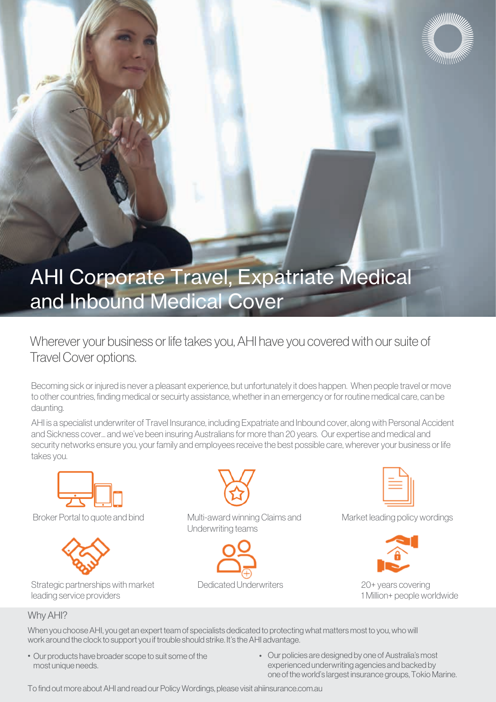

# AHI Corporate Travel, Expatriate Medical and Inbound Medical Cover

Wherever your business or life takes you, AHI have you covered with our suite of Travel Cover options.

Becoming sick or injured is never a pleasant experience, but unfortunately it does happen. When people travel or move to other countries, finding medical or secuirty assistance, whether in an emergency or for routine medical care, can be daunting.

AHI is a specialist underwriter of Travel Insurance, including Expatriate and Inbound cover, along with Personal Accident and Sickness cover... and we've been insuring Australians for more than 20 years. Our expertise and medical and security networks ensure you, your family and employees receive the best possible care, wherever your business or life takes you.





Strategic partnerships with market Dedicated Underwriters leading service providers



Broker Portal to quote and bind Multi-award winning Claims and Market leading policy wordings Underwriting teams







20+ years covering 1 Million+ people worldwide

#### Why AHI?

When you choose AHI, you get an expert team of specialists dedicated to protecting what matters most to you, who will work around the clock to support you if trouble should strike. It's the AHI advantage.

- Our products have broader scope to suit some of the most unique needs.
- Our policies are designed by one of Australia's most experienced underwriting agencies and backed by one of the world's largest insurance groups, Tokio Marine.

To find out more about AHI and read our Policy Wordings, please visit ahiinsurance.com.au